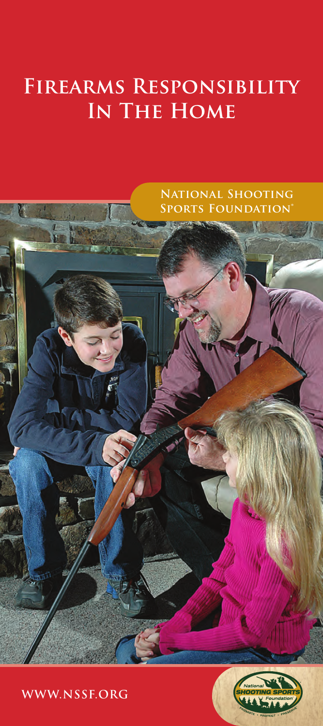### **Firearms Responsibility In The Home**



 **WWW.NSSF.ORG**

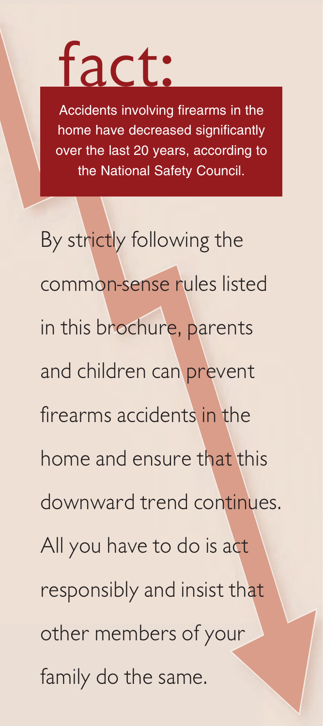## fact:

Accidents involving firearms in the home have decreased significantly over the last 20 years, according to the National Safety Council.

By strictly following the common-sense rules listed in this brochure, parents and children can prevent firearms accidents in the home and ensure that this downward trend continues. All you have to do is act responsibly and insist that other members of your family do the same.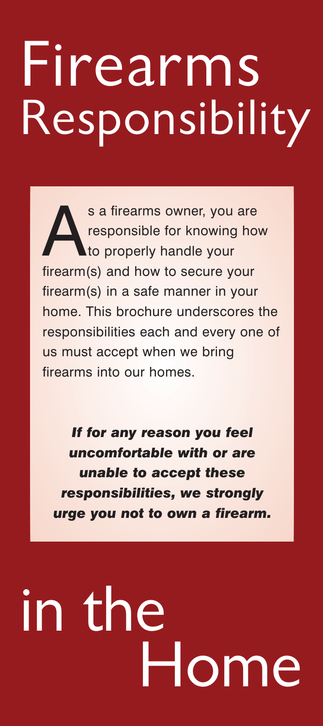## Firearms Responsibility

s a firearms owner, you are<br>responsible for knowing ho<br>firearm (c) and knowing accuracy responsible for knowing how **to properly handle your** firearm(s) and how to secure your firearm(s) in a safe manner in your home. This brochure underscores the responsibilities each and every one of us must accept when we bring firearms into our homes.

*If for any reason you feel uncomfortable with or are unable to accept these responsibilities, we strongly urge you not to own a firearm.*

# in the Home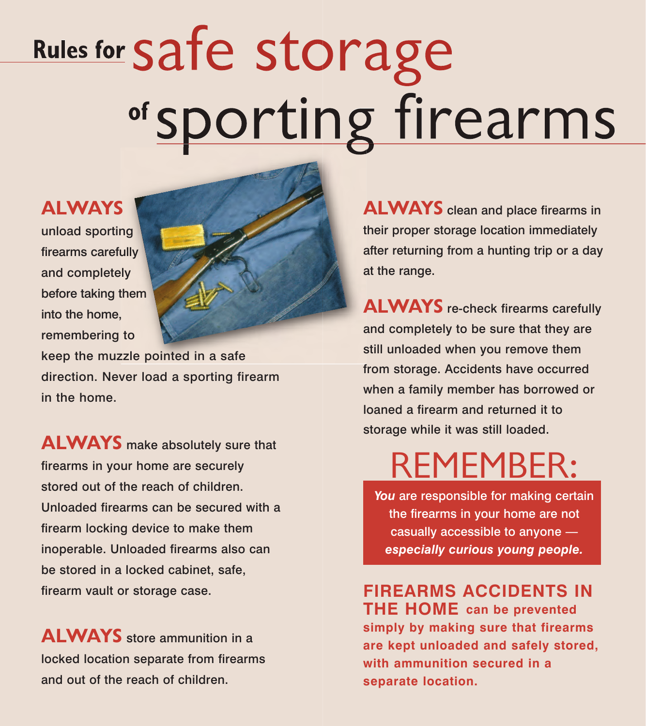# Rules for Safe storage <sup>of</sup> sporting firearms

### ALWAYS

unload sporting firearms carefully and completely before taking them into the home, remembering to



keep the muzzle pointed in a safe direction. Never load a sporting firearm in the home.

**ALWAYS** make absolutely sure that firearms in your home are securely stored out of the reach of children. Unloaded firearms can be secured with a firearm locking device to make them inoperable. Unloaded firearms also can be stored in a locked cabinet, safe, firearm vault or storage case.

ALWAYS store ammunition in a locked location separate from firearms and out of the reach of children.

ALWAYS clean and place firearms in their proper storage location immediately after returning from a hunting trip or a day at the range.

**ALWAYS** re-check firearms carefully and completely to be sure that they are still unloaded when you remove them from storage. Accidents have occurred when a family member has borrowed or loaned a firearm and returned it to storage while it was still loaded.

## REMEMBER:

You are responsible for making certain the firearms in your home are not casually accessible to anyone *especially curious young people.*

**FIREARMS ACCIDENTS IN THE HOME can be prevented simply by making sure that firearms are kept unloaded and safely stored, with ammunition secured in a separate location.**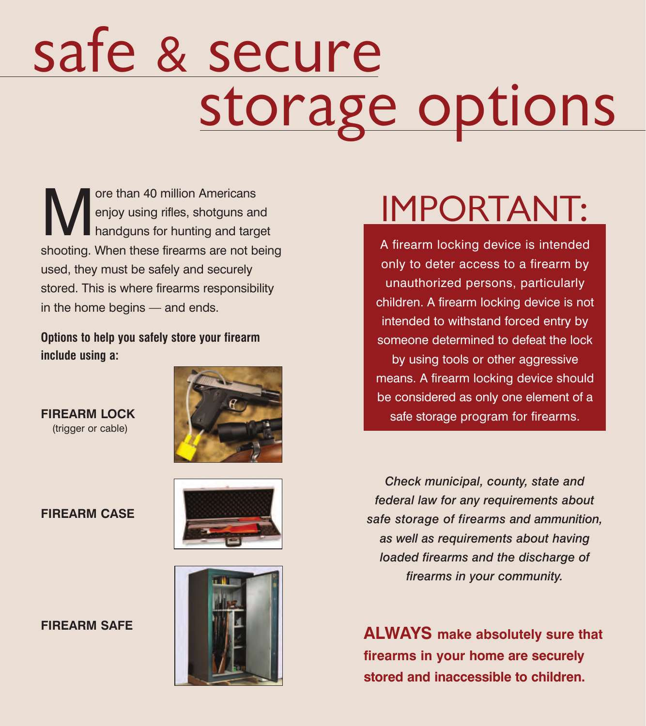# safe & secure storage options

Ore than 40 million Americans<br>
enjoy using rifles, shotguns are<br>
handguns for hunting and targets enjoy using rifles, shotguns and handguns for hunting and target shooting. When these firearms are not being used, they must be safely and securely stored. This is where firearms responsibility in the home begins — and ends.

**Options to help you safely store your firearm include using a:** 

**FIREARM LOCK** (trigger or cable)









## IMPORTANT:

A firearm locking device is intended only to deter access to a firearm by unauthorized persons, particularly children. A firearm locking device is not intended to withstand forced entry by someone determined to defeat the lock by using tools or other aggressive means. A firearm locking device should be considered as only one element of a safe storage program for firearms.

*Check municipal, county, state and federal law for any requirements about safe storage of firearms and ammunition, as well as requirements about having loaded firearms and the discharge of firearms in your community.*

**ALWAYS make absolutely sure that firearms in your home are securely stored and inaccessible to children.**

### **FIREARM SAFE**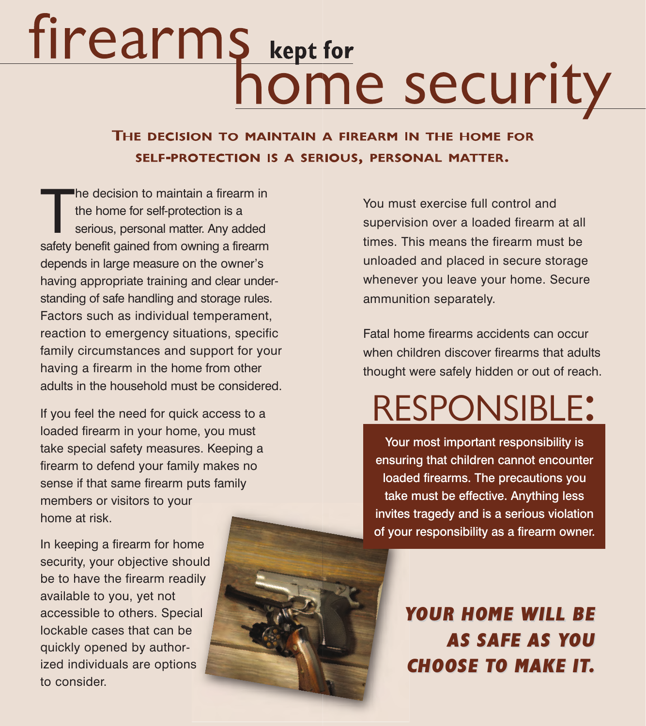# Fire arms kept for **home security**

SELF-PROTECTION IS A SERIOUS, PERSONAL MATTER.

The decision to maintain a firearm in<br>the home for self-protection is a<br>serious, personal matter. Any added<br>safety benefit gained from owning a firearm he decision to maintain a firearm in the home for self-protection is a serious, personal matter. Any added depends in large measure on the owner's having appropriate training and clear understanding of safe handling and storage rules. Factors such as individual temperament, reaction to emergency situations, specific family circumstances and support for your having a firearm in the home from other adults in the household must be considered.

If you feel the need for quick access to a loaded firearm in your home, you must take special safety measures. Keeping a firearm to defend your family makes no sense if that same firearm puts family members or visitors to your home at risk.

In keeping a firearm for home security, your objective should be to have the firearm readily available to you, yet not accessible to others. Special lockable cases that can be quickly opened by authorized individuals are options to consider.



You must exercise full control and supervision over a loaded firearm at all times. This means the firearm must be unloaded and placed in secure storage whenever you leave your home. Secure ammunition separately.

Fatal home firearms accidents can occur when children discover firearms that adults thought were safely hidden or out of reach.

## RESPONSIBLE:

Your most important responsibility is ensuring that children cannot encounter loaded firearms. The precautions you take must be effective. Anything less invites tragedy and is a serious violation of your responsibility as a firearm owner.

> YOUR HOME WILL BE AS SAFE AS YOU **CHOOSE TO MAKE IT.**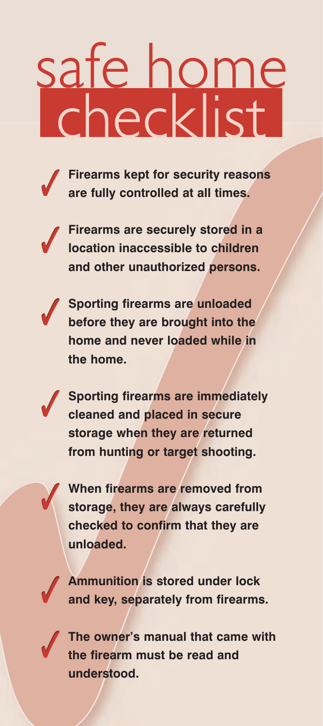# safe home checklist



**Firearms kept for security reasons are fully controlled at all times.**



**Firearms are securely stored in a location inaccessible to children and other unauthorized persons.**



**✓**

**✓**

**Sporting firearms are unloaded before they are brought into the home and never loaded while in the home.**

**Sporting firearms are immediately cleaned and placed in secure storage when they are returned from hunting or target shooting.**

**When firearms are removed from storage, they are always carefully checked to confirm that they are unloaded.**



**Ammunition is stored under lock and key, separately from firearms.**



**The owner's manual that came with the firearm must be read and understood.**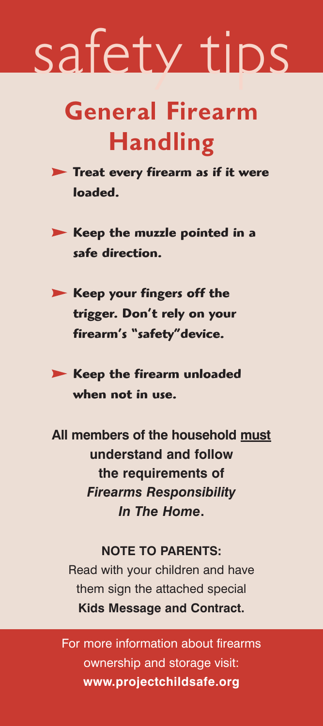## safety tips

### General Firearm Handling

- **Treat every firearm as if it were loaded.**
- **Keep the muzzle pointed in a safe direction.**
- **Keep your fingers off the trigger. Don't rely on your firearm's "safety"device.**
- **Keep the firearm unloaded when not in use.**

**All members of the household must understand and follow the requirements of** *Firearms Responsibility In The Home***.**

### **NOTE TO PARENTS:**

Read with your children and have them sign the attached special **Kids Message and Contract.**

For more information about firearms ownership and storage visit: **www.projectchildsafe.org**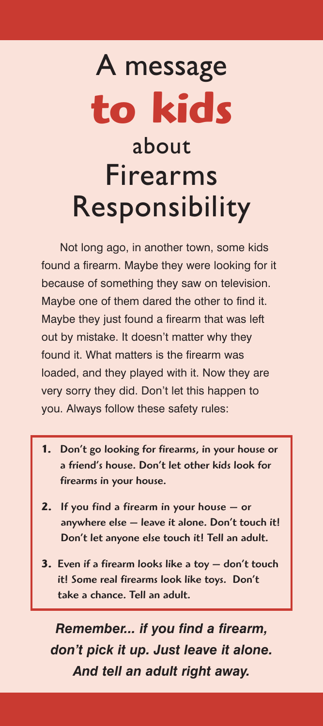## A message **to kids** about Firearms Responsibility

Not long ago, in another town, some kids found a firearm. Maybe they were looking for it because of something they saw on television. Maybe one of them dared the other to find it. Maybe they just found a firearm that was left out by mistake. It doesn't matter why they found it. What matters is the firearm was loaded, and they played with it. Now they are very sorry they did. Don't let this happen to you. Always follow these safety rules:

- **1.** Don't go looking for firearms, in your house or a friend's house. Don't let other kids look for firearms in your house.
- **2.** If you find a firearm in your house or anywhere else — leave it alone. Don't touch it! Don't let anyone else touch it! Tell an adult.
- **3.** Even if a firearm looks like a toy don't touch it! Some real firearms look like toys. Don't take a chance. Tell an adult.

*Remember... if you find a firearm, don't pick it up. Just leave it alone. And tell an adult right away.*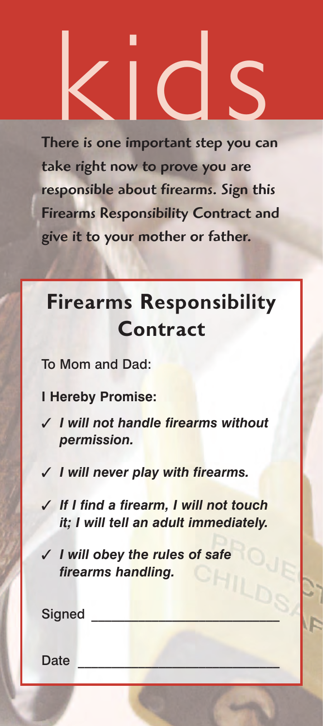There is one important step you can take right now to prove you are responsible about firearms. Sign this Firearms Responsibility Contract and give it to your mother or father. References in a series de la Constantine de la Constantine de la Constantine de la Constantine de la Constantine de la Constantine de la Constantine de la Constantine de la Constantine de la Constantine de la Constantine d

### Firearms Responsibility Contract

To Mom and Dad:

**I Hereby Promise:**

- **✓** *I will not handle firearms without permission.*
- **✓** *I will never play with firearms.*
- **✓** *If I find a firearm, I will not touch it; I will tell an adult immediately.*
- **✓** *I will obey the rules of safe firearms handling.*

| <b>Signed</b> |  |  |
|---------------|--|--|
| <b>Date</b>   |  |  |